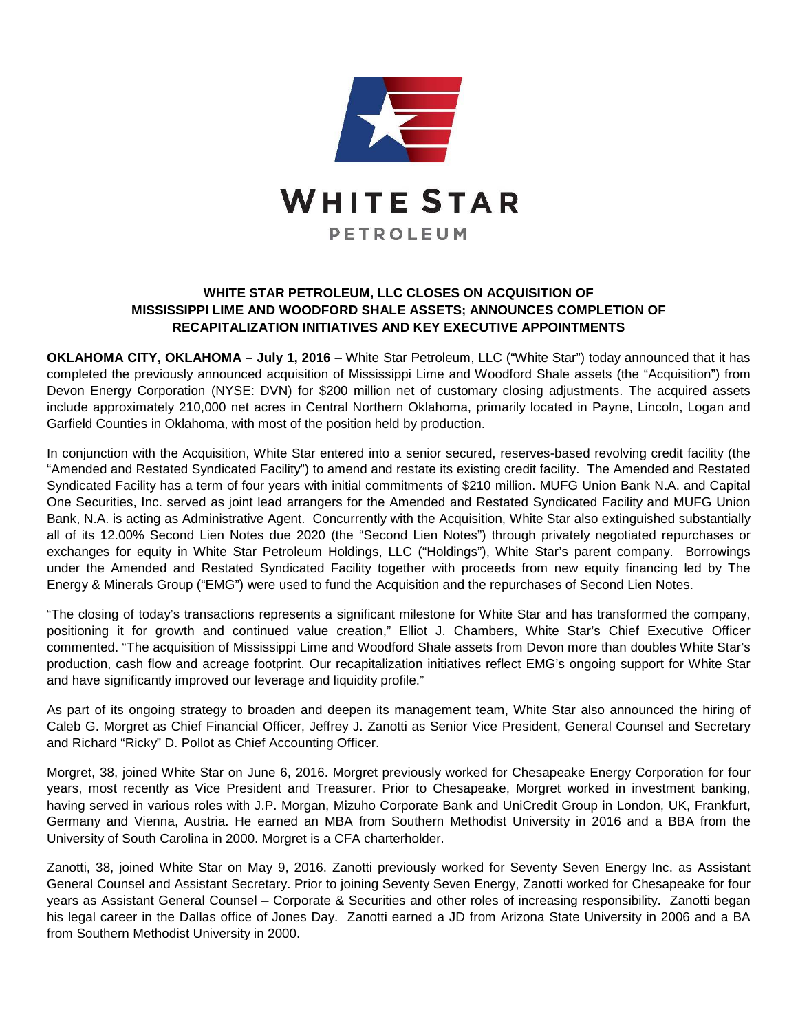

## **WHITE STAR PETROLEUM, LLC CLOSES ON ACQUISITION OF MISSISSIPPI LIME AND WOODFORD SHALE ASSETS; ANNOUNCES COMPLETION OF RECAPITALIZATION INITIATIVES AND KEY EXECUTIVE APPOINTMENTS**

**OKLAHOMA CITY, OKLAHOMA – July 1, 2016** – White Star Petroleum, LLC ("White Star") today announced that it has completed the previously announced acquisition of Mississippi Lime and Woodford Shale assets (the "Acquisition") from Devon Energy Corporation (NYSE: DVN) for \$200 million net of customary closing adjustments. The acquired assets include approximately 210,000 net acres in Central Northern Oklahoma, primarily located in Payne, Lincoln, Logan and Garfield Counties in Oklahoma, with most of the position held by production.

In conjunction with the Acquisition, White Star entered into a senior secured, reserves-based revolving credit facility (the "Amended and Restated Syndicated Facility") to amend and restate its existing credit facility. The Amended and Restated Syndicated Facility has a term of four years with initial commitments of \$210 million. MUFG Union Bank N.A. and Capital One Securities, Inc. served as joint lead arrangers for the Amended and Restated Syndicated Facility and MUFG Union Bank, N.A. is acting as Administrative Agent. Concurrently with the Acquisition, White Star also extinguished substantially all of its 12.00% Second Lien Notes due 2020 (the "Second Lien Notes") through privately negotiated repurchases or exchanges for equity in White Star Petroleum Holdings, LLC ("Holdings"), White Star's parent company. Borrowings under the Amended and Restated Syndicated Facility together with proceeds from new equity financing led by The Energy & Minerals Group ("EMG") were used to fund the Acquisition and the repurchases of Second Lien Notes.

"The closing of today's transactions represents a significant milestone for White Star and has transformed the company, positioning it for growth and continued value creation," Elliot J. Chambers, White Star's Chief Executive Officer commented. "The acquisition of Mississippi Lime and Woodford Shale assets from Devon more than doubles White Star's production, cash flow and acreage footprint. Our recapitalization initiatives reflect EMG's ongoing support for White Star and have significantly improved our leverage and liquidity profile."

As part of its ongoing strategy to broaden and deepen its management team, White Star also announced the hiring of Caleb G. Morgret as Chief Financial Officer, Jeffrey J. Zanotti as Senior Vice President, General Counsel and Secretary and Richard "Ricky" D. Pollot as Chief Accounting Officer.

Morgret, 38, joined White Star on June 6, 2016. Morgret previously worked for Chesapeake Energy Corporation for four years, most recently as Vice President and Treasurer. Prior to Chesapeake, Morgret worked in investment banking, having served in various roles with J.P. Morgan, Mizuho Corporate Bank and UniCredit Group in London, UK, Frankfurt, Germany and Vienna, Austria. He earned an MBA from Southern Methodist University in 2016 and a BBA from the University of South Carolina in 2000. Morgret is a CFA charterholder.

Zanotti, 38, joined White Star on May 9, 2016. Zanotti previously worked for Seventy Seven Energy Inc. as Assistant General Counsel and Assistant Secretary. Prior to joining Seventy Seven Energy, Zanotti worked for Chesapeake for four years as Assistant General Counsel – Corporate & Securities and other roles of increasing responsibility. Zanotti began his legal career in the Dallas office of Jones Day. Zanotti earned a JD from Arizona State University in 2006 and a BA from Southern Methodist University in 2000.